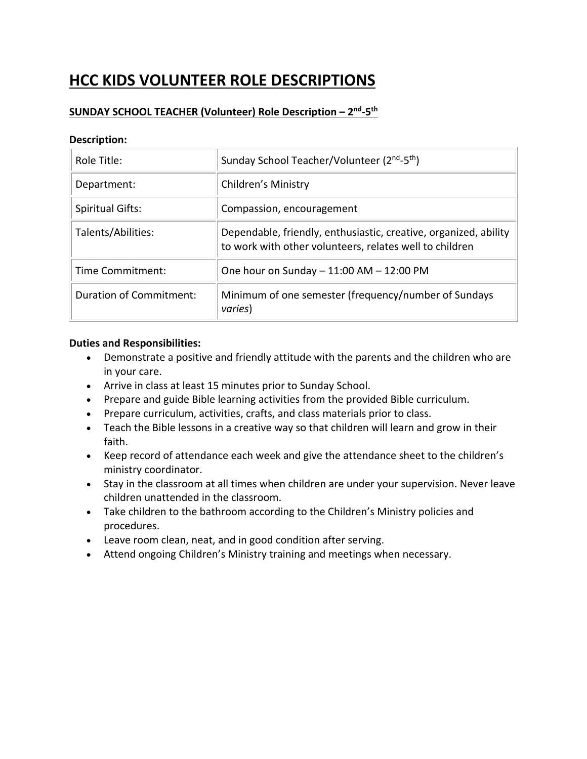# **HCC KIDS VOLUNTEER ROLE DESCRIPTIONS**

## **SUNDAY SCHOOL TEACHER (Volunteer) Role Description – 2nd-5th**

## **Description:**

| Role Title:             | Sunday School Teacher/Volunteer (2 <sup>nd</sup> -5 <sup>th</sup> )                                                         |
|-------------------------|-----------------------------------------------------------------------------------------------------------------------------|
| Department:             | Children's Ministry                                                                                                         |
| <b>Spiritual Gifts:</b> | Compassion, encouragement                                                                                                   |
| Talents/Abilities:      | Dependable, friendly, enthusiastic, creative, organized, ability<br>to work with other volunteers, relates well to children |
| Time Commitment:        | One hour on Sunday $-11:00$ AM $-12:00$ PM                                                                                  |
| Duration of Commitment: | Minimum of one semester (frequency/number of Sundays<br>varies)                                                             |

- Demonstrate a positive and friendly attitude with the parents and the children who are in your care.
- Arrive in class at least 15 minutes prior to Sunday School.
- Prepare and guide Bible learning activities from the provided Bible curriculum.
- Prepare curriculum, activities, crafts, and class materials prior to class.
- Teach the Bible lessons in a creative way so that children will learn and grow in their faith.
- Keep record of attendance each week and give the attendance sheet to the children's ministry coordinator.
- Stay in the classroom at all times when children are under your supervision. Never leave children unattended in the classroom.
- Take children to the bathroom according to the Children's Ministry policies and procedures.
- Leave room clean, neat, and in good condition after serving.
- Attend ongoing Children's Ministry training and meetings when necessary.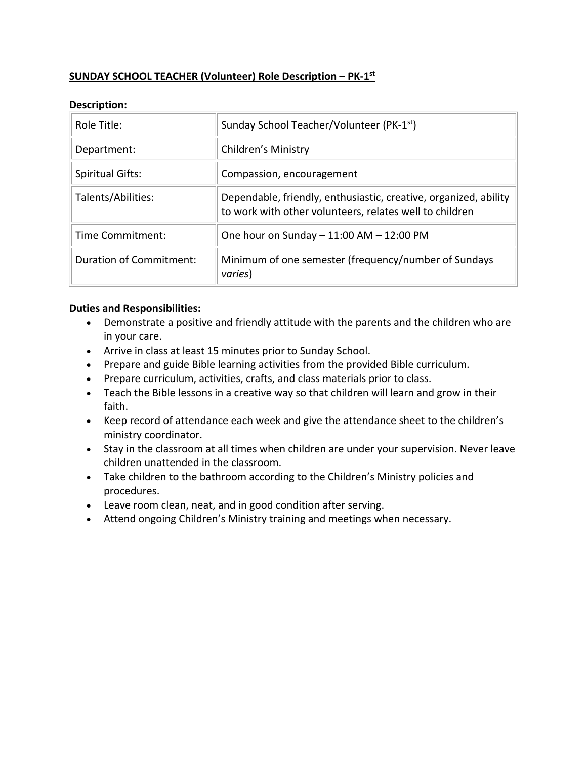# **SUNDAY SCHOOL TEACHER (Volunteer) Role Description – PK-1st**

## **Description:**

| Role Title:             | Sunday School Teacher/Volunteer (PK-1 <sup>st</sup> )                                                                       |
|-------------------------|-----------------------------------------------------------------------------------------------------------------------------|
| Department:             | Children's Ministry                                                                                                         |
| <b>Spiritual Gifts:</b> | Compassion, encouragement                                                                                                   |
| Talents/Abilities:      | Dependable, friendly, enthusiastic, creative, organized, ability<br>to work with other volunteers, relates well to children |
| Time Commitment:        | One hour on Sunday $-11:00$ AM $-12:00$ PM                                                                                  |
| Duration of Commitment: | Minimum of one semester (frequency/number of Sundays<br>varies)                                                             |

- Demonstrate a positive and friendly attitude with the parents and the children who are in your care.
- Arrive in class at least 15 minutes prior to Sunday School.
- Prepare and guide Bible learning activities from the provided Bible curriculum.
- Prepare curriculum, activities, crafts, and class materials prior to class.
- Teach the Bible lessons in a creative way so that children will learn and grow in their faith.
- Keep record of attendance each week and give the attendance sheet to the children's ministry coordinator.
- Stay in the classroom at all times when children are under your supervision. Never leave children unattended in the classroom.
- Take children to the bathroom according to the Children's Ministry policies and procedures.
- Leave room clean, neat, and in good condition after serving.
- Attend ongoing Children's Ministry training and meetings when necessary.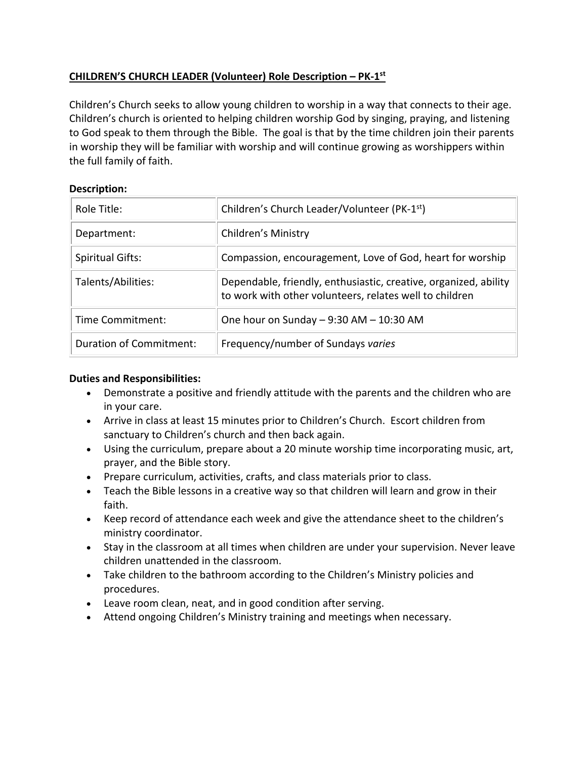# **CHILDREN'S CHURCH LEADER (Volunteer) Role Description – PK-1st**

Children's Church seeks to allow young children to worship in a way that connects to their age. Children's church is oriented to helping children worship God by singing, praying, and listening to God speak to them through the Bible. The goal is that by the time children join their parents in worship they will be familiar with worship and will continue growing as worshippers within the full family of faith.

## **Description:**

| Role Title:                    | Children's Church Leader/Volunteer (PK-1 <sup>st</sup> )                                                                    |
|--------------------------------|-----------------------------------------------------------------------------------------------------------------------------|
| Department:                    | Children's Ministry                                                                                                         |
| <b>Spiritual Gifts:</b>        | Compassion, encouragement, Love of God, heart for worship                                                                   |
| Talents/Abilities:             | Dependable, friendly, enthusiastic, creative, organized, ability<br>to work with other volunteers, relates well to children |
| Time Commitment:               | One hour on Sunday $-9:30$ AM $-10:30$ AM                                                                                   |
| <b>Duration of Commitment:</b> | Frequency/number of Sundays varies                                                                                          |

- Demonstrate a positive and friendly attitude with the parents and the children who are in your care.
- Arrive in class at least 15 minutes prior to Children's Church. Escort children from sanctuary to Children's church and then back again.
- Using the curriculum, prepare about a 20 minute worship time incorporating music, art, prayer, and the Bible story.
- Prepare curriculum, activities, crafts, and class materials prior to class.
- Teach the Bible lessons in a creative way so that children will learn and grow in their faith.
- Keep record of attendance each week and give the attendance sheet to the children's ministry coordinator.
- Stay in the classroom at all times when children are under your supervision. Never leave children unattended in the classroom.
- Take children to the bathroom according to the Children's Ministry policies and procedures.
- Leave room clean, neat, and in good condition after serving.
- Attend ongoing Children's Ministry training and meetings when necessary.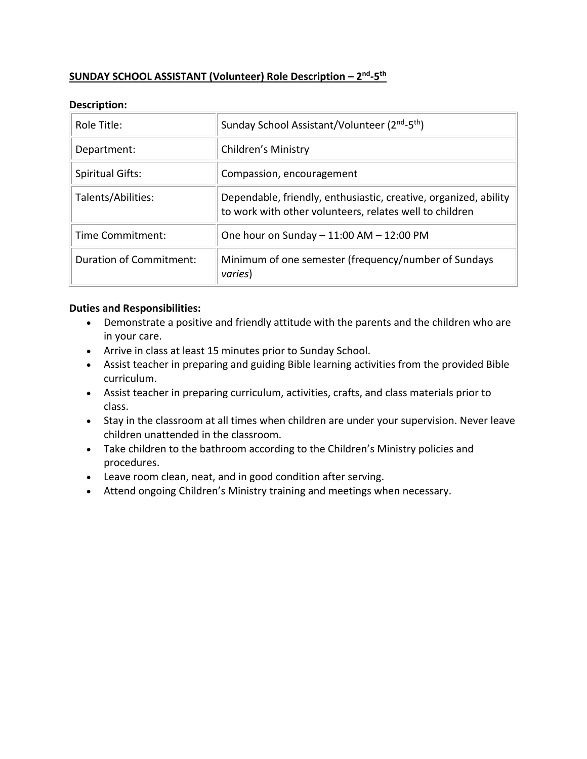# **SUNDAY SCHOOL ASSISTANT (Volunteer) Role Description – 2nd-5th**

#### **Description:**

| Role Title:             | Sunday School Assistant/Volunteer (2 <sup>nd</sup> -5 <sup>th</sup> )                                                       |
|-------------------------|-----------------------------------------------------------------------------------------------------------------------------|
| Department:             | Children's Ministry                                                                                                         |
| <b>Spiritual Gifts:</b> | Compassion, encouragement                                                                                                   |
| Talents/Abilities:      | Dependable, friendly, enthusiastic, creative, organized, ability<br>to work with other volunteers, relates well to children |
| Time Commitment:        | One hour on Sunday - 11:00 AM - 12:00 PM                                                                                    |
| Duration of Commitment: | Minimum of one semester (frequency/number of Sundays<br>varies)                                                             |

- Demonstrate a positive and friendly attitude with the parents and the children who are in your care.
- Arrive in class at least 15 minutes prior to Sunday School.
- Assist teacher in preparing and guiding Bible learning activities from the provided Bible curriculum.
- Assist teacher in preparing curriculum, activities, crafts, and class materials prior to class.
- Stay in the classroom at all times when children are under your supervision. Never leave children unattended in the classroom.
- Take children to the bathroom according to the Children's Ministry policies and procedures.
- Leave room clean, neat, and in good condition after serving.
- Attend ongoing Children's Ministry training and meetings when necessary.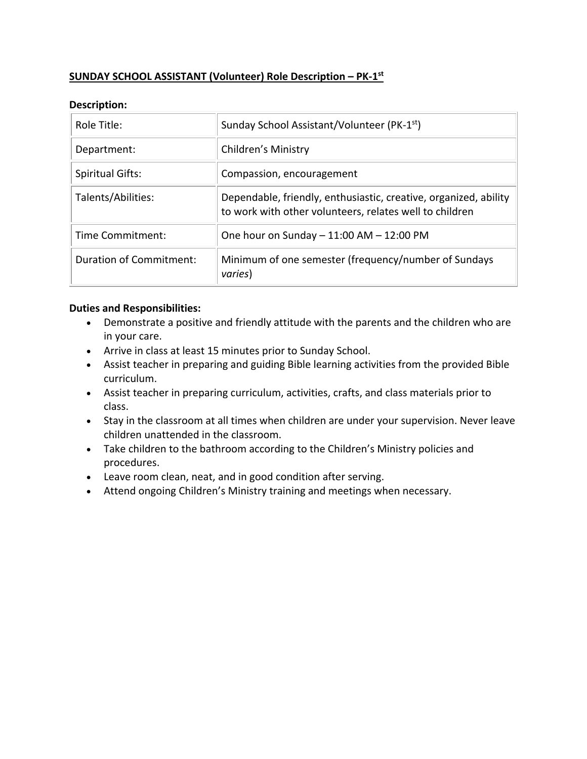# **SUNDAY SCHOOL ASSISTANT (Volunteer) Role Description – PK-1st**

## **Description:**

| Role Title:             | Sunday School Assistant/Volunteer (PK-1 <sup>st</sup> )                                                                     |
|-------------------------|-----------------------------------------------------------------------------------------------------------------------------|
| Department:             | Children's Ministry                                                                                                         |
| <b>Spiritual Gifts:</b> | Compassion, encouragement                                                                                                   |
| Talents/Abilities:      | Dependable, friendly, enthusiastic, creative, organized, ability<br>to work with other volunteers, relates well to children |
| Time Commitment:        | One hour on Sunday - 11:00 AM - 12:00 PM                                                                                    |
| Duration of Commitment: | Minimum of one semester (frequency/number of Sundays<br>varies)                                                             |

- Demonstrate a positive and friendly attitude with the parents and the children who are in your care.
- Arrive in class at least 15 minutes prior to Sunday School.
- Assist teacher in preparing and guiding Bible learning activities from the provided Bible curriculum.
- Assist teacher in preparing curriculum, activities, crafts, and class materials prior to class.
- Stay in the classroom at all times when children are under your supervision. Never leave children unattended in the classroom.
- Take children to the bathroom according to the Children's Ministry policies and procedures.
- Leave room clean, neat, and in good condition after serving.
- Attend ongoing Children's Ministry training and meetings when necessary.